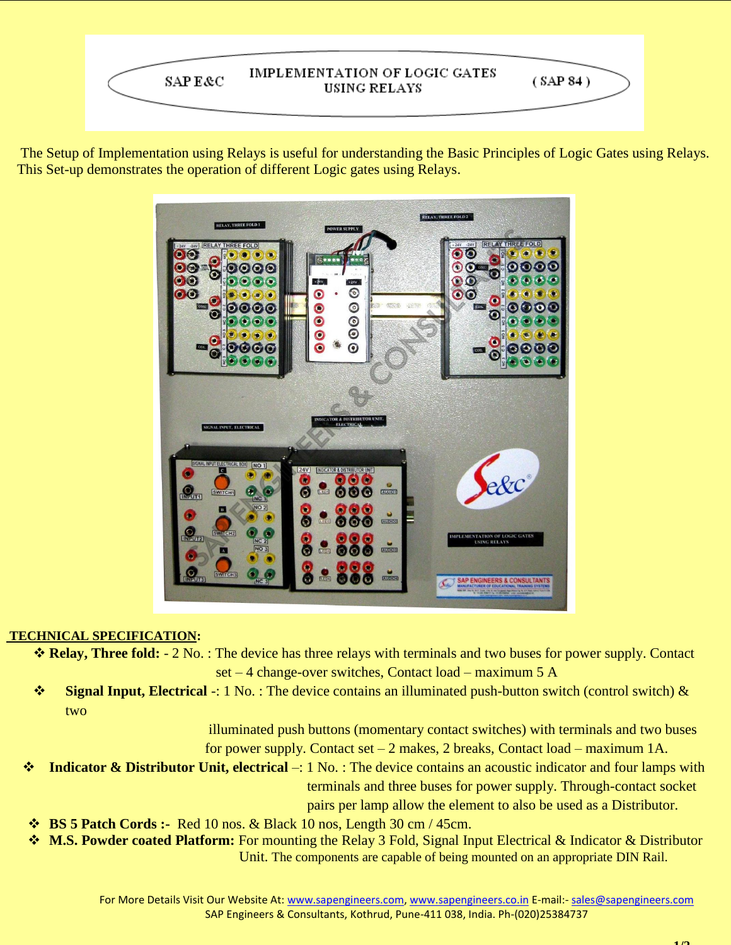

The Setup of Implementation using Relays is useful for understanding the Basic Principles of Logic Gates using Relays. This Set-up demonstrates the operation of different Logic gates using Relays.



## **TECHNICAL SPECIFICATION:**

- **Relay, Three fold:** 2 No. : The device has three relays with terminals and two buses for power supply. Contact set – 4 change-over switches, Contact load – maximum 5 A
- **Signal Input, Electrical** -: 1 No. : The device contains an illuminated push-button switch (control switch) & two

illuminated push buttons (momentary contact switches) with terminals and two buses for power supply. Contact set  $-2$  makes, 2 breaks, Contact load – maximum 1A.

- **Indicator & Distributor Unit, electrical** –: 1 No. : The device contains an acoustic indicator and four lamps with terminals and three buses for power supply. Through-contact socket pairs per lamp allow the element to also be used as a Distributor.
- **BS 5 Patch Cords :-** Red 10 nos. & Black 10 nos, Length 30 cm / 45cm.
- **M.S. Powder coated Platform:** For mounting the Relay 3 Fold, Signal Input Electrical & Indicator & Distributor Unit. The components are capable of being mounted on an appropriate DIN Rail.